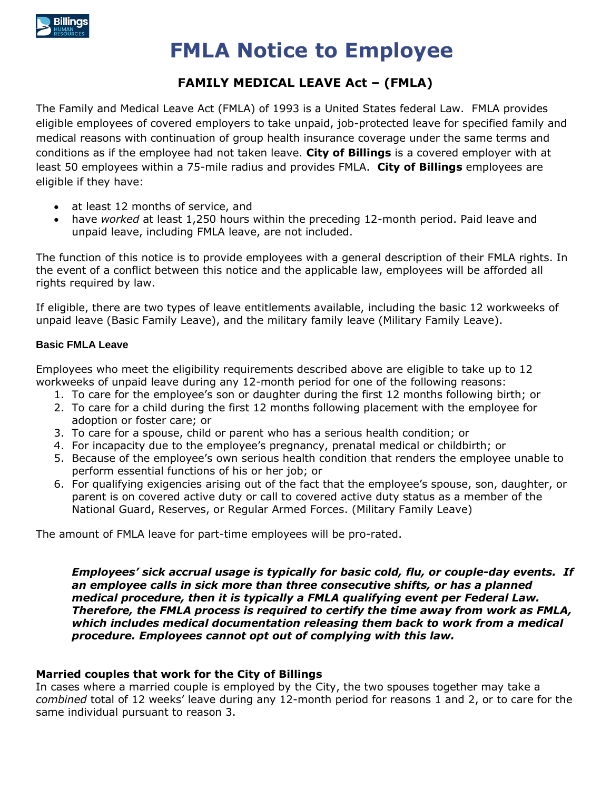

# **FMLA Notice to Employee**

## **FAMILY MEDICAL LEAVE Act – (FMLA)**

The Family and Medical Leave Act (FMLA) of 1993 is a United States federal Law. FMLA provides eligible employees of covered employers to take unpaid, job-protected leave for specified family and medical reasons with continuation of group health insurance coverage under the same terms and conditions as if the employee had not taken leave. **City of Billings** is a covered employer with at least 50 employees within a 75-mile radius and provides FMLA. **City of Billings** employees are eligible if they have:

- at least 12 months of service, and
- have *worked* at least 1,250 hours within the preceding 12-month period. Paid leave and unpaid leave, including FMLA leave, are not included.

The function of this notice is to provide employees with a general description of their FMLA rights. In the event of a conflict between this notice and the applicable law, employees will be afforded all rights required by law.

If eligible, there are two types of leave entitlements available, including the basic 12 workweeks of unpaid leave (Basic Family Leave), and the military family leave (Military Family Leave).

## **Basic FMLA Leave**

Employees who meet the eligibility requirements described above are eligible to take up to 12 workweeks of unpaid leave during any 12-month period for one of the following reasons:

- 1. To care for the employee's son or daughter during the first 12 months following birth; or
- 2. To care for a child during the first 12 months following placement with the employee for adoption or foster care; or
- 3. To care for a spouse, child or parent who has a serious health condition; or
- 4. For incapacity due to the employee's pregnancy, prenatal medical or childbirth; or
- 5. Because of the employee's own serious health condition that renders the employee unable to perform essential functions of his or her job; or
- 6. For qualifying exigencies arising out of the fact that the employee's spouse, son, daughter, or parent is on covered active duty or call to covered active duty status as a member of the National Guard, Reserves, or Regular Armed Forces. (Military Family Leave)

The amount of FMLA leave for part-time employees will be pro-rated.

*Employees' sick accrual usage is typically for basic cold, flu, or couple-day events. If an employee calls in sick more than three consecutive shifts, or has a planned medical procedure, then it is typically a FMLA qualifying event per Federal Law. Therefore, the FMLA process is required to certify the time away from work as FMLA, which includes medical documentation releasing them back to work from a medical procedure. Employees cannot opt out of complying with this law.*

## **Married couples that work for the City of Billings**

In cases where a married couple is employed by the City, the two spouses together may take a *combined* total of 12 weeks' leave during any 12-month period for reasons 1 and 2, or to care for the same individual pursuant to reason 3.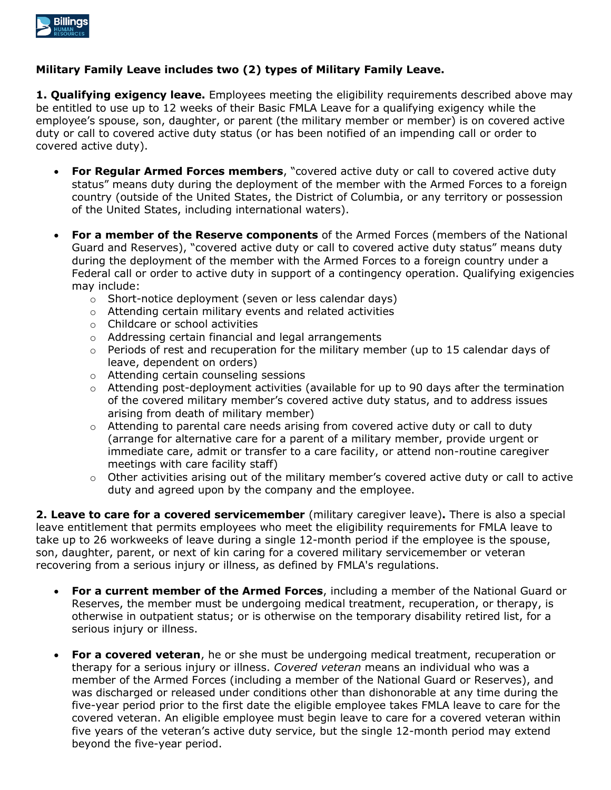

## **Military Family Leave includes two (2) types of Military Family Leave.**

**1. Qualifying exigency leave.** Employees meeting the eligibility requirements described above may be entitled to use up to 12 weeks of their Basic FMLA Leave for a qualifying exigency while the employee's spouse, son, daughter, or parent (the military member or member) is on covered active duty or call to covered active duty status (or has been notified of an impending call or order to covered active duty).

- **For Regular Armed Forces members**, "covered active duty or call to covered active duty status" means duty during the deployment of the member with the Armed Forces to a foreign country (outside of the United States, the District of Columbia, or any territory or possession of the United States, including international waters).
- **For a member of the Reserve components** of the Armed Forces (members of the National Guard and Reserves), "covered active duty or call to covered active duty status" means duty during the deployment of the member with the Armed Forces to a foreign country under a Federal call or order to active duty in support of a contingency operation. Qualifying exigencies may include:
	- o Short-notice deployment (seven or less calendar days)
	- o Attending certain military events and related activities
	- o Childcare or school activities
	- o Addressing certain financial and legal arrangements
	- $\circ$  Periods of rest and recuperation for the military member (up to 15 calendar days of leave, dependent on orders)
	- o Attending certain counseling sessions
	- $\circ$  Attending post-deployment activities (available for up to 90 days after the termination of the covered military member's covered active duty status, and to address issues arising from death of military member)
	- $\circ$  Attending to parental care needs arising from covered active duty or call to duty (arrange for alternative care for a parent of a military member, provide urgent or immediate care, admit or transfer to a care facility, or attend non-routine caregiver meetings with care facility staff)
	- o Other activities arising out of the military member's covered active duty or call to active duty and agreed upon by the company and the employee.

**2. Leave to care for a covered servicemember** (military caregiver leave)**.** There is also a special leave entitlement that permits employees who meet the eligibility requirements for FMLA leave to take up to 26 workweeks of leave during a single 12-month period if the employee is the spouse, son, daughter, parent, or next of kin caring for a covered military servicemember or veteran recovering from a serious injury or illness, as defined by FMLA's regulations.

- **For a current member of the Armed Forces**, including a member of the National Guard or Reserves, the member must be undergoing medical treatment, recuperation, or therapy, is otherwise in outpatient status; or is otherwise on the temporary disability retired list, for a serious injury or illness.
- **For a covered veteran**, he or she must be undergoing medical treatment, recuperation or therapy for a serious injury or illness. *Covered veteran* means an individual who was a member of the Armed Forces (including a member of the National Guard or Reserves), and was discharged or released under conditions other than dishonorable at any time during the five-year period prior to the first date the eligible employee takes FMLA leave to care for the covered veteran. An eligible employee must begin leave to care for a covered veteran within five years of the veteran's active duty service, but the single 12-month period may extend beyond the five-year period.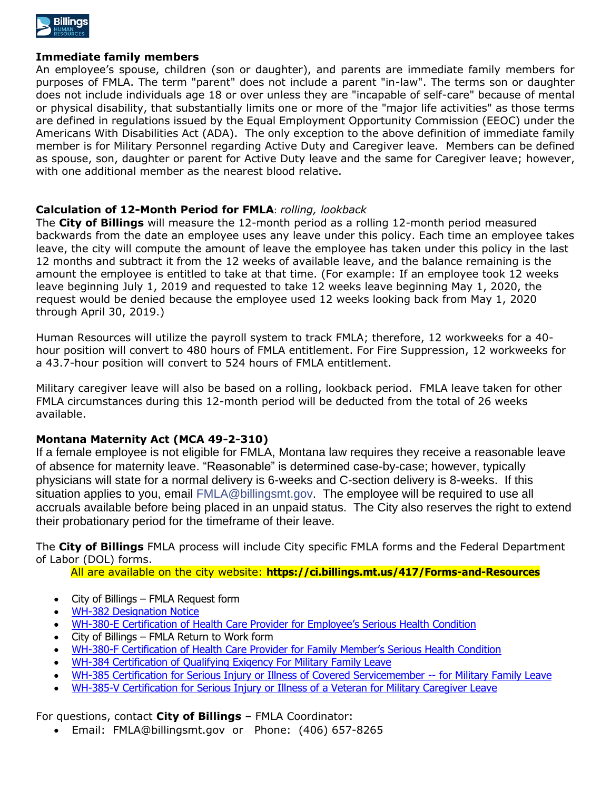

## **Immediate family members**

An employee's spouse, children (son or daughter), and parents are immediate family members for purposes of FMLA. The term "parent" does not include a parent "in-law". The terms son or daughter does not include individuals age 18 or over unless they are "incapable of self-care" because of mental or physical disability, that substantially limits one or more of the "major life activities" as those terms are defined in regulations issued by the Equal Employment Opportunity Commission (EEOC) under the Americans With Disabilities Act (ADA). The only exception to the above definition of immediate family member is for Military Personnel regarding Active Duty and Caregiver leave. Members can be defined as spouse, son, daughter or parent for Active Duty leave and the same for Caregiver leave; however, with one additional member as the nearest blood relative.

## **Calculation of 12-Month Period for FMLA**: *rolling, lookback*

The **City of Billings** will measure the 12-month period as a rolling 12-month period measured backwards from the date an employee uses any leave under this policy. Each time an employee takes leave, the city will compute the amount of leave the employee has taken under this policy in the last 12 months and subtract it from the 12 weeks of available leave, and the balance remaining is the amount the employee is entitled to take at that time. (For example: If an employee took 12 weeks leave beginning July 1, 2019 and requested to take 12 weeks leave beginning May 1, 2020, the request would be denied because the employee used 12 weeks looking back from May 1, 2020 through April 30, 2019.)

Human Resources will utilize the payroll system to track FMLA; therefore, 12 workweeks for a 40 hour position will convert to 480 hours of FMLA entitlement. For Fire Suppression, 12 workweeks for a 43.7-hour position will convert to 524 hours of FMLA entitlement.

Military caregiver leave will also be based on a rolling, lookback period. FMLA leave taken for other FMLA circumstances during this 12-month period will be deducted from the total of 26 weeks available.

## **Montana Maternity Act (MCA 49-2-310)**

If a female employee is not eligible for FMLA, Montana law requires they receive a reasonable leave of absence for maternity leave. "Reasonable" is determined case-by-case; however, typically physicians will state for a normal delivery is 6-weeks and C-section delivery is 8-weeks. If this situation applies to you, email [FMLA@billingsmt.gov.](mailto:FMLA@billingsmt.gov) The employee will be required to use all accruals available before being placed in an unpaid status. The City also reserves the right to extend their probationary period for the timeframe of their leave.

The **City of Billings** FMLA process will include City specific FMLA forms and the Federal Department of Labor (DOL) forms.

All are available on the city website: **https://ci.billings.mt.us/417/Forms-and-Resources**

- City of Billings FMLA Request form
- [WH-382 Designation Notice](http://www.dol.gov/whd/forms/WH-382.pdf)
- WH-380-[E Certification of Health Care Provider for Employee's Serious Health](http://www.dol.gov/whd/forms/WH-380-E.pdf) Condition
- City of Billings FMLA Return to Work form
- WH-380-[F Certification of Health Care Provider for Family Member's Serious Health Condition](http://www.dol.gov/whd/forms/WH-380-F.pdf)
- [WH-384 Certification of Qualifying Exigency For Military Family Leave](http://www.dol.gov/whd/forms/WH-384.pdf)
- [WH-385 Certification for Serious Injury or Illness of Covered Servicemember --](http://www.dol.gov/whd/forms/WH-385.pdf) for Military Family Leave
- [WH-385-V Certification for Serious Injury or Illness of a Veteran for Military Caregiver Leave](http://www.dol.gov/whd/forms/wh385V.pdf)

For questions, contact **City of Billings** – FMLA Coordinator:

Email: [FMLA@billingsmt.gov](mailto:FMLA@billingsmt.gov) or Phone: (406) 657-8265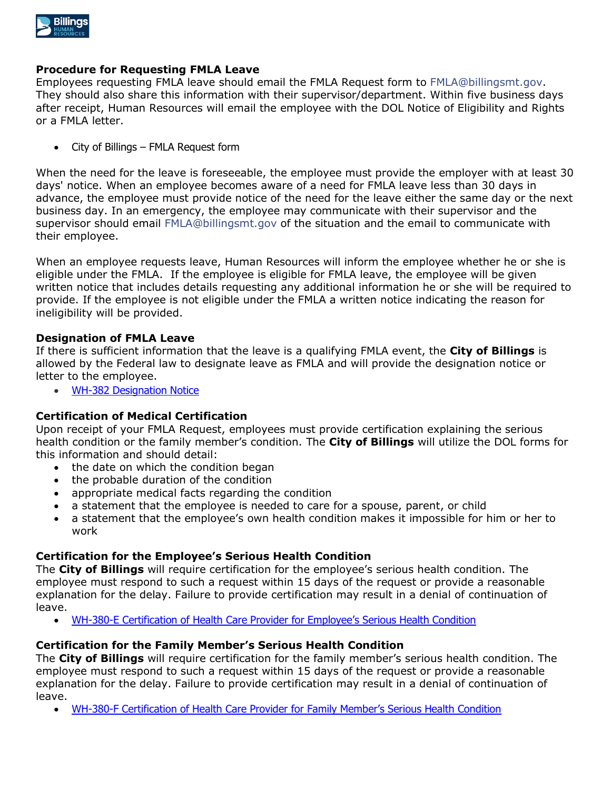

## **Procedure for Requesting FMLA Leave**

Employees requesting FMLA leave should email the FMLA Request form to [FMLA@billingsmt.gov.](mailto:FMLA@billingsmt.gov) They should also share this information with their supervisor/department. Within five business days after receipt, Human Resources will email the employee with the DOL Notice of Eligibility and Rights or a FMLA letter.

City of Billings – FMLA Request form

When the need for the leave is foreseeable, the employee must provide the employer with at least 30 days' notice. When an employee becomes aware of a need for FMLA leave less than 30 days in advance, the employee must provide notice of the need for the leave either the same day or the next business day. In an emergency, the employee may communicate with their supervisor and the supervisor should email [FMLA@billingsmt.gov](mailto:FMLA@billingsmt.gov) of the situation and the email to communicate with their employee.

When an employee requests leave, Human Resources will inform the employee whether he or she is eligible under the FMLA. If the employee is eligible for FMLA leave, the employee will be given written notice that includes details requesting any additional information he or she will be required to provide. If the employee is not eligible under the FMLA a written notice indicating the reason for ineligibility will be provided.

## **Designation of FMLA Leave**

If there is sufficient information that the leave is a qualifying FMLA event, the **City of Billings** is allowed by the Federal law to designate leave as FMLA and will provide the designation notice or letter to the employee.

[WH-382 Designation Notice](http://www.dol.gov/whd/forms/WH-382.pdf)

## **Certification of Medical Certification**

Upon receipt of your FMLA Request, employees must provide certification explaining the serious health condition or the family member's condition. The **City of Billings** will utilize the DOL forms for this information and should detail:

- the date on which the condition began
- the probable duration of the condition
- appropriate medical facts regarding the condition
- a statement that the employee is needed to care for a spouse, parent, or child
- a statement that the employee's own health condition makes it impossible for him or her to work

## **Certification for the Employee's Serious Health Condition**

The **City of Billings** will require certification for the employee's serious health condition. The employee must respond to such a request within 15 days of the request or provide a reasonable explanation for the delay. Failure to provide certification may result in a denial of continuation of leave.

WH-380-[E Certification of Health Care Provider for Employee's Serious Health Condition](http://www.dol.gov/whd/forms/WH-380-E.pdf)

## **Certification for the Family Member's Serious Health Condition**

The **City of Billings** will require certification for the family member's serious health condition. The employee must respond to such a request within 15 days of the request or provide a reasonable explanation for the delay. Failure to provide certification may result in a denial of continuation of leave.

WH-380-[F Certification of Health Care Provider for Family Member's Serious Health Condition](http://www.dol.gov/whd/forms/WH-380-F.pdf)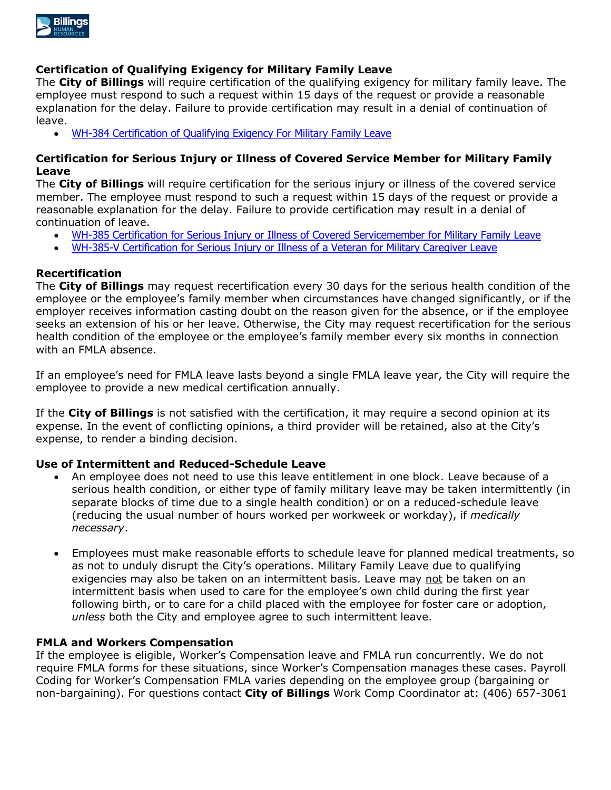

## **Certification of Qualifying Exigency for Military Family Leave**

The **City of Billings** will require certification of the qualifying exigency for military family leave. The employee must respond to such a request within 15 days of the request or provide a reasonable explanation for the delay. Failure to provide certification may result in a denial of continuation of leave.

[WH-384 Certification of Qualifying Exigency For Military Family Leave](http://www.dol.gov/whd/forms/WH-384.pdf)

## **Certification for Serious Injury or Illness of Covered Service Member for Military Family Leave**

The **City of Billings** will require certification for the serious injury or illness of the covered service member. The employee must respond to such a request within 15 days of the request or provide a reasonable explanation for the delay. Failure to provide certification may result in a denial of continuation of leave.

- [WH-385 Certification for Serious Injury or Illness of Covered Servicemember](http://www.dol.gov/whd/forms/WH-385.pdf) for Military Family Leave
- [WH-385-V Certification for Serious Injury or Illness of a Veteran for Military Caregiver Leave](http://www.dol.gov/whd/forms/wh385V.pdf)

## **Recertification**

The **City of Billings** may request recertification every 30 days for the serious health condition of the employee or the employee's family member when circumstances have changed significantly, or if the employer receives information casting doubt on the reason given for the absence, or if the employee seeks an extension of his or her leave. Otherwise, the City may request recertification for the serious health condition of the employee or the employee's family member every six months in connection with an FMLA absence.

If an employee's need for FMLA leave lasts beyond a single FMLA leave year, the City will require the employee to provide a new medical certification annually.

If the **City of Billings** is not satisfied with the certification, it may require a second opinion at its expense. In the event of conflicting opinions, a third provider will be retained, also at the City's expense, to render a binding decision.

## **Use of Intermittent and Reduced-Schedule Leave**

- An employee does not need to use this leave entitlement in one block. Leave because of a serious health condition, or either type of family military leave may be taken intermittently (in separate blocks of time due to a single health condition) or on a reduced-schedule leave (reducing the usual number of hours worked per workweek or workday), if *medically necessary*.
- Employees must make reasonable efforts to schedule leave for planned medical treatments, so as not to unduly disrupt the City's operations. Military Family Leave due to qualifying exigencies may also be taken on an intermittent basis. Leave may not be taken on an intermittent basis when used to care for the employee's own child during the first year following birth, or to care for a child placed with the employee for foster care or adoption, *unless* both the City and employee agree to such intermittent leave.

## **FMLA and Workers Compensation**

If the employee is eligible, Worker's Compensation leave and FMLA run concurrently. We do not require FMLA forms for these situations, since Worker's Compensation manages these cases. Payroll Coding for Worker's Compensation FMLA varies depending on the employee group (bargaining or non-bargaining). For questions contact **City of Billings** Work Comp Coordinator at: (406) 657-3061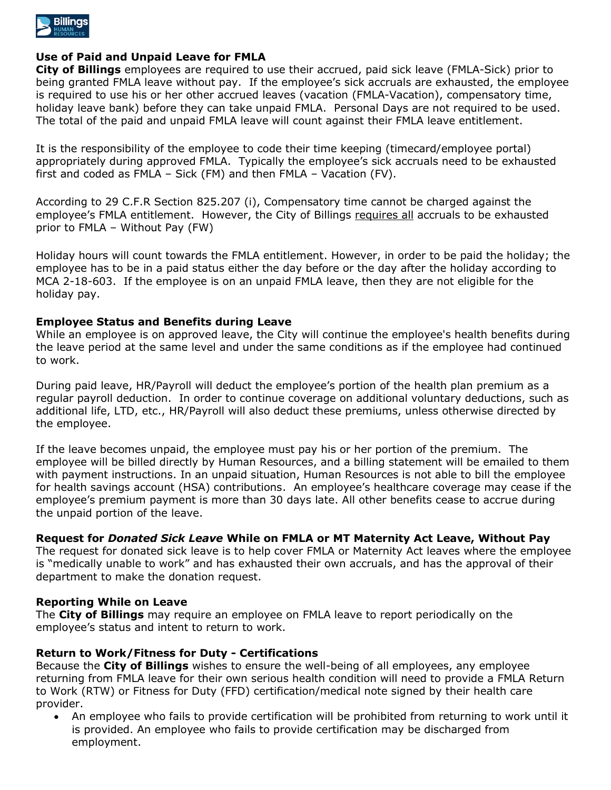

## **Use of Paid and Unpaid Leave for FMLA**

**City of Billings** employees are required to use their accrued, paid sick leave (FMLA-Sick) prior to being granted FMLA leave without pay. If the employee's sick accruals are exhausted, the employee is required to use his or her other accrued leaves (vacation (FMLA-Vacation), compensatory time, holiday leave bank) before they can take unpaid FMLA. Personal Days are not required to be used. The total of the paid and unpaid FMLA leave will count against their FMLA leave entitlement.

It is the responsibility of the employee to code their time keeping (timecard/employee portal) appropriately during approved FMLA. Typically the employee's sick accruals need to be exhausted first and coded as FMLA – Sick (FM) and then FMLA – Vacation (FV).

According to 29 C.F.R Section 825.207 (i), Compensatory time cannot be charged against the employee's FMLA entitlement. However, the City of Billings requires all accruals to be exhausted prior to FMLA – Without Pay (FW)

Holiday hours will count towards the FMLA entitlement. However, in order to be paid the holiday; the employee has to be in a paid status either the day before or the day after the holiday according to MCA 2-18-603. If the employee is on an unpaid FMLA leave, then they are not eligible for the holiday pay.

## **Employee Status and Benefits during Leave**

While an employee is on approved leave, the City will continue the employee's health benefits during the leave period at the same level and under the same conditions as if the employee had continued to work.

During paid leave, HR/Payroll will deduct the employee's portion of the health plan premium as a regular payroll deduction. In order to continue coverage on additional voluntary deductions, such as additional life, LTD, etc., HR/Payroll will also deduct these premiums, unless otherwise directed by the employee.

If the leave becomes unpaid, the employee must pay his or her portion of the premium. The employee will be billed directly by Human Resources, and a billing statement will be emailed to them with payment instructions. In an unpaid situation, Human Resources is not able to bill the employee for health savings account (HSA) contributions. An employee's healthcare coverage may cease if the employee's premium payment is more than 30 days late. All other benefits cease to accrue during the unpaid portion of the leave.

## **Request for** *Donated Sick Leave* **While on FMLA or MT Maternity Act Leave, Without Pay**

The request for donated sick leave is to help cover FMLA or Maternity Act leaves where the employee is "medically unable to work" and has exhausted their own accruals, and has the approval of their department to make the donation request.

## **Reporting While on Leave**

The **City of Billings** may require an employee on FMLA leave to report periodically on the employee's status and intent to return to work.

## **Return to Work/Fitness for Duty - Certifications**

Because the **City of Billings** wishes to ensure the well-being of all employees, any employee returning from FMLA leave for their own serious health condition will need to provide a FMLA Return to Work (RTW) or Fitness for Duty (FFD) certification/medical note signed by their health care provider.

 An employee who fails to provide certification will be prohibited from returning to work until it is provided. An employee who fails to provide certification may be discharged from employment.